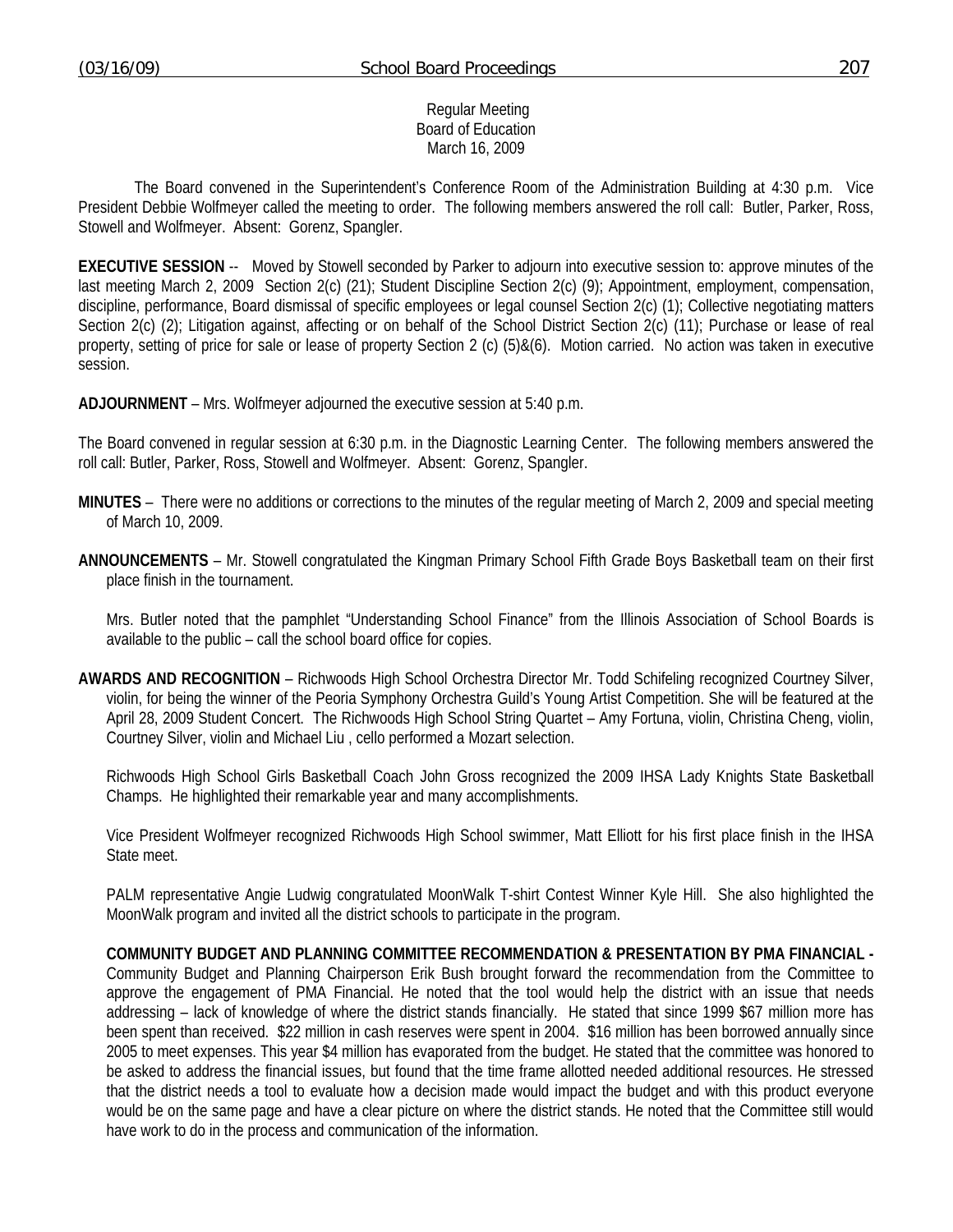### Regular Meeting Board of Education March 16, 2009

 The Board convened in the Superintendent's Conference Room of the Administration Building at 4:30 p.m. Vice President Debbie Wolfmeyer called the meeting to order. The following members answered the roll call: Butler, Parker, Ross, Stowell and Wolfmeyer. Absent: Gorenz, Spangler.

**EXECUTIVE SESSION** -- Moved by Stowell seconded by Parker to adjourn into executive session to: approve minutes of the last meeting March 2, 2009 Section 2(c) (21); Student Discipline Section 2(c) (9); Appointment, employment, compensation, discipline, performance, Board dismissal of specific employees or legal counsel Section 2(c) (1); Collective negotiating matters Section 2(c) (2); Litigation against, affecting or on behalf of the School District Section 2(c) (11); Purchase or lease of real property, setting of price for sale or lease of property Section 2 (c) (5)&(6). Motion carried. No action was taken in executive session.

**ADJOURNMENT** – Mrs. Wolfmeyer adjourned the executive session at 5:40 p.m.

The Board convened in regular session at 6:30 p.m. in the Diagnostic Learning Center. The following members answered the roll call: Butler, Parker, Ross, Stowell and Wolfmeyer. Absent: Gorenz, Spangler.

- **MINUTES** There were no additions or corrections to the minutes of the regular meeting of March 2, 2009 and special meeting of March 10, 2009.
- **ANNOUNCEMENTS** Mr. Stowell congratulated the Kingman Primary School Fifth Grade Boys Basketball team on their first place finish in the tournament.

 Mrs. Butler noted that the pamphlet "Understanding School Finance" from the Illinois Association of School Boards is available to the public – call the school board office for copies.

**AWARDS AND RECOGNITION** – Richwoods High School Orchestra Director Mr. Todd Schifeling recognized Courtney Silver, violin, for being the winner of the Peoria Symphony Orchestra Guild's Young Artist Competition. She will be featured at the April 28, 2009 Student Concert. The Richwoods High School String Quartet – Amy Fortuna, violin, Christina Cheng, violin, Courtney Silver, violin and Michael Liu , cello performed a Mozart selection.

 Richwoods High School Girls Basketball Coach John Gross recognized the 2009 IHSA Lady Knights State Basketball Champs. He highlighted their remarkable year and many accomplishments.

 Vice President Wolfmeyer recognized Richwoods High School swimmer, Matt Elliott for his first place finish in the IHSA State meet.

 PALM representative Angie Ludwig congratulated MoonWalk T-shirt Contest Winner Kyle Hill. She also highlighted the MoonWalk program and invited all the district schools to participate in the program.

**COMMUNITY BUDGET AND PLANNING COMMITTEE RECOMMENDATION & PRESENTATION BY PMA FINANCIAL -**  Community Budget and Planning Chairperson Erik Bush brought forward the recommendation from the Committee to approve the engagement of PMA Financial. He noted that the tool would help the district with an issue that needs addressing – lack of knowledge of where the district stands financially. He stated that since 1999 \$67 million more has been spent than received. \$22 million in cash reserves were spent in 2004. \$16 million has been borrowed annually since 2005 to meet expenses. This year \$4 million has evaporated from the budget. He stated that the committee was honored to be asked to address the financial issues, but found that the time frame allotted needed additional resources. He stressed that the district needs a tool to evaluate how a decision made would impact the budget and with this product everyone would be on the same page and have a clear picture on where the district stands. He noted that the Committee still would have work to do in the process and communication of the information.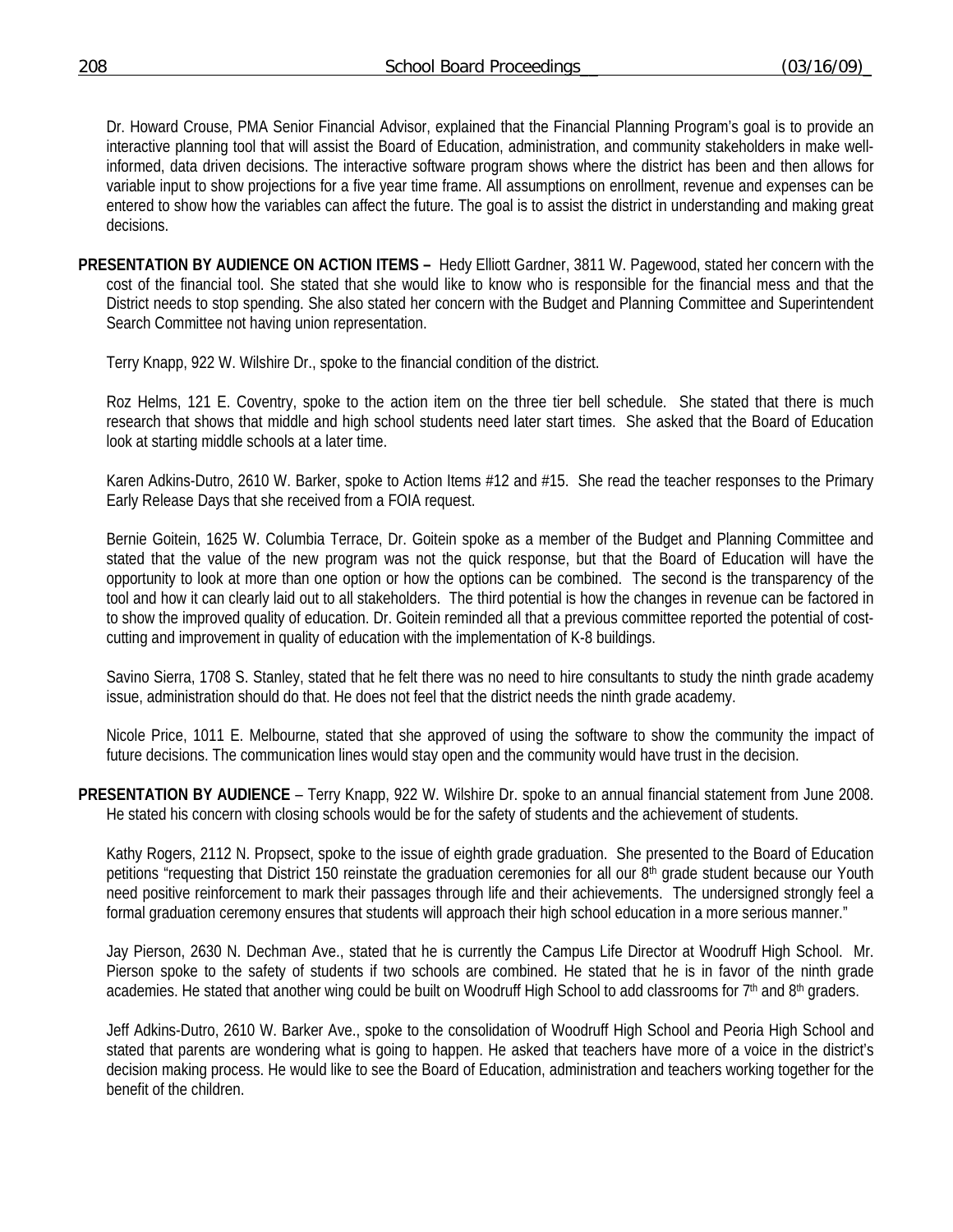Dr. Howard Crouse, PMA Senior Financial Advisor, explained that the Financial Planning Program's goal is to provide an interactive planning tool that will assist the Board of Education, administration, and community stakeholders in make wellinformed, data driven decisions. The interactive software program shows where the district has been and then allows for variable input to show projections for a five year time frame. All assumptions on enrollment, revenue and expenses can be entered to show how the variables can affect the future. The goal is to assist the district in understanding and making great decisions.

**PRESENTATION BY AUDIENCE ON ACTION ITEMS –** Hedy Elliott Gardner, 3811 W. Pagewood, stated her concern with the cost of the financial tool. She stated that she would like to know who is responsible for the financial mess and that the District needs to stop spending. She also stated her concern with the Budget and Planning Committee and Superintendent Search Committee not having union representation.

Terry Knapp, 922 W. Wilshire Dr., spoke to the financial condition of the district.

 Roz Helms, 121 E. Coventry, spoke to the action item on the three tier bell schedule. She stated that there is much research that shows that middle and high school students need later start times. She asked that the Board of Education look at starting middle schools at a later time.

 Karen Adkins-Dutro, 2610 W. Barker, spoke to Action Items #12 and #15. She read the teacher responses to the Primary Early Release Days that she received from a FOIA request.

 Bernie Goitein, 1625 W. Columbia Terrace, Dr. Goitein spoke as a member of the Budget and Planning Committee and stated that the value of the new program was not the quick response, but that the Board of Education will have the opportunity to look at more than one option or how the options can be combined. The second is the transparency of the tool and how it can clearly laid out to all stakeholders. The third potential is how the changes in revenue can be factored in to show the improved quality of education. Dr. Goitein reminded all that a previous committee reported the potential of costcutting and improvement in quality of education with the implementation of K-8 buildings.

 Savino Sierra, 1708 S. Stanley, stated that he felt there was no need to hire consultants to study the ninth grade academy issue, administration should do that. He does not feel that the district needs the ninth grade academy.

 Nicole Price, 1011 E. Melbourne, stated that she approved of using the software to show the community the impact of future decisions. The communication lines would stay open and the community would have trust in the decision.

**PRESENTATION BY AUDIENCE** – Terry Knapp, 922 W. Wilshire Dr. spoke to an annual financial statement from June 2008. He stated his concern with closing schools would be for the safety of students and the achievement of students.

 Kathy Rogers, 2112 N. Propsect, spoke to the issue of eighth grade graduation. She presented to the Board of Education petitions "requesting that District 150 reinstate the graduation ceremonies for all our 8<sup>th</sup> grade student because our Youth need positive reinforcement to mark their passages through life and their achievements. The undersigned strongly feel a formal graduation ceremony ensures that students will approach their high school education in a more serious manner."

 Jay Pierson, 2630 N. Dechman Ave., stated that he is currently the Campus Life Director at Woodruff High School. Mr. Pierson spoke to the safety of students if two schools are combined. He stated that he is in favor of the ninth grade academies. He stated that another wing could be built on Woodruff High School to add classrooms for 7th and 8th graders.

 Jeff Adkins-Dutro, 2610 W. Barker Ave., spoke to the consolidation of Woodruff High School and Peoria High School and stated that parents are wondering what is going to happen. He asked that teachers have more of a voice in the district's decision making process. He would like to see the Board of Education, administration and teachers working together for the benefit of the children.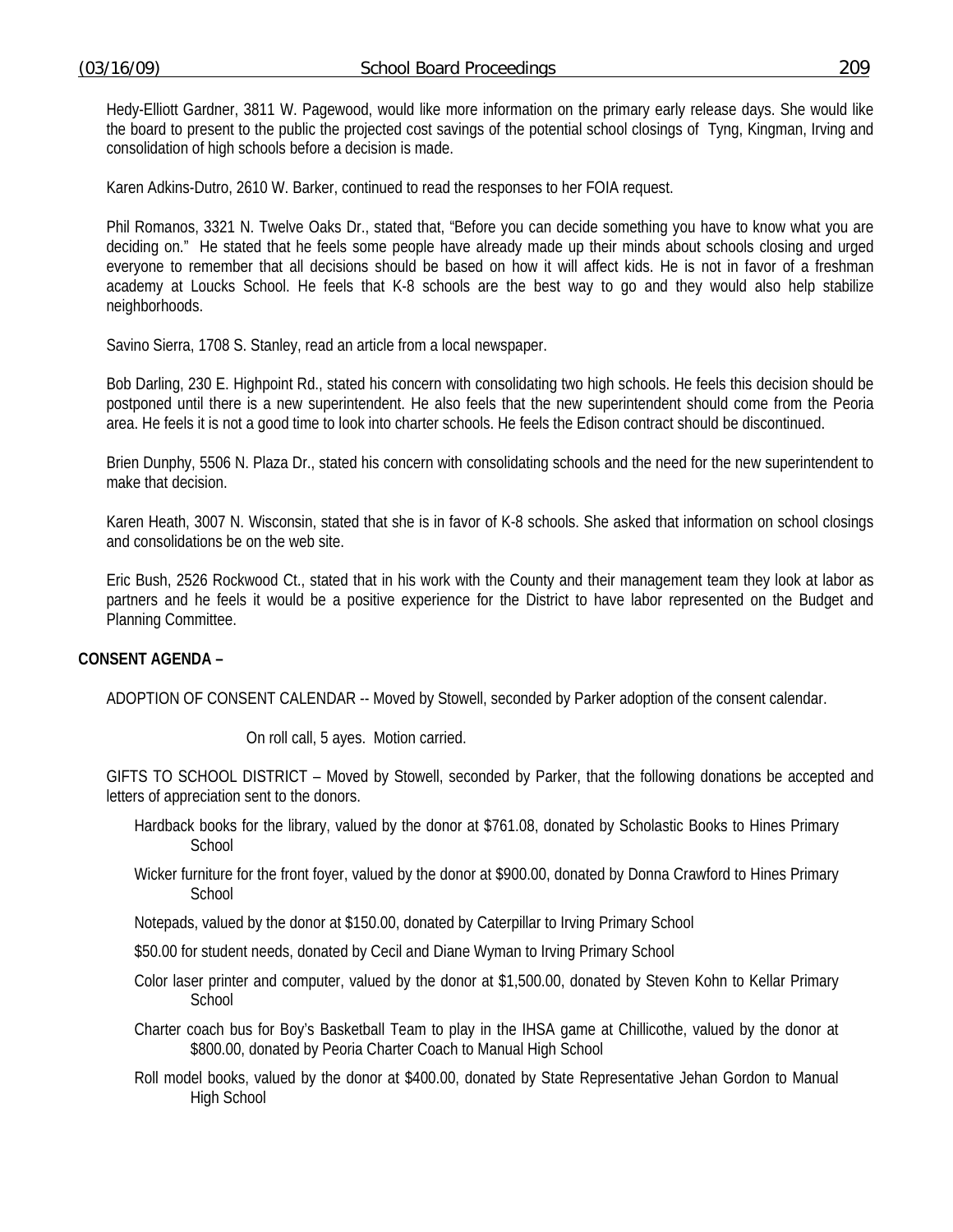Hedy-Elliott Gardner, 3811 W. Pagewood, would like more information on the primary early release days. She would like the board to present to the public the projected cost savings of the potential school closings of Tyng, Kingman, Irving and consolidation of high schools before a decision is made.

Karen Adkins-Dutro, 2610 W. Barker, continued to read the responses to her FOIA request.

 Phil Romanos, 3321 N. Twelve Oaks Dr., stated that, "Before you can decide something you have to know what you are deciding on." He stated that he feels some people have already made up their minds about schools closing and urged everyone to remember that all decisions should be based on how it will affect kids. He is not in favor of a freshman academy at Loucks School. He feels that K-8 schools are the best way to go and they would also help stabilize neighborhoods.

Savino Sierra, 1708 S. Stanley, read an article from a local newspaper.

 Bob Darling, 230 E. Highpoint Rd., stated his concern with consolidating two high schools. He feels this decision should be postponed until there is a new superintendent. He also feels that the new superintendent should come from the Peoria area. He feels it is not a good time to look into charter schools. He feels the Edison contract should be discontinued.

 Brien Dunphy, 5506 N. Plaza Dr., stated his concern with consolidating schools and the need for the new superintendent to make that decision.

 Karen Heath, 3007 N. Wisconsin, stated that she is in favor of K-8 schools. She asked that information on school closings and consolidations be on the web site.

 Eric Bush, 2526 Rockwood Ct., stated that in his work with the County and their management team they look at labor as partners and he feels it would be a positive experience for the District to have labor represented on the Budget and Planning Committee.

# **CONSENT AGENDA –**

ADOPTION OF CONSENT CALENDAR -- Moved by Stowell, seconded by Parker adoption of the consent calendar.

On roll call, 5 ayes. Motion carried.

GIFTS TO SCHOOL DISTRICT – Moved by Stowell, seconded by Parker, that the following donations be accepted and letters of appreciation sent to the donors.

- Hardback books for the library, valued by the donor at \$761.08, donated by Scholastic Books to Hines Primary **School**
- Wicker furniture for the front foyer, valued by the donor at \$900.00, donated by Donna Crawford to Hines Primary **School**

Notepads, valued by the donor at \$150.00, donated by Caterpillar to Irving Primary School

\$50.00 for student needs, donated by Cecil and Diane Wyman to Irving Primary School

- Color laser printer and computer, valued by the donor at \$1,500.00, donated by Steven Kohn to Kellar Primary **School**
- Charter coach bus for Boy's Basketball Team to play in the IHSA game at Chillicothe, valued by the donor at \$800.00, donated by Peoria Charter Coach to Manual High School
- Roll model books, valued by the donor at \$400.00, donated by State Representative Jehan Gordon to Manual High School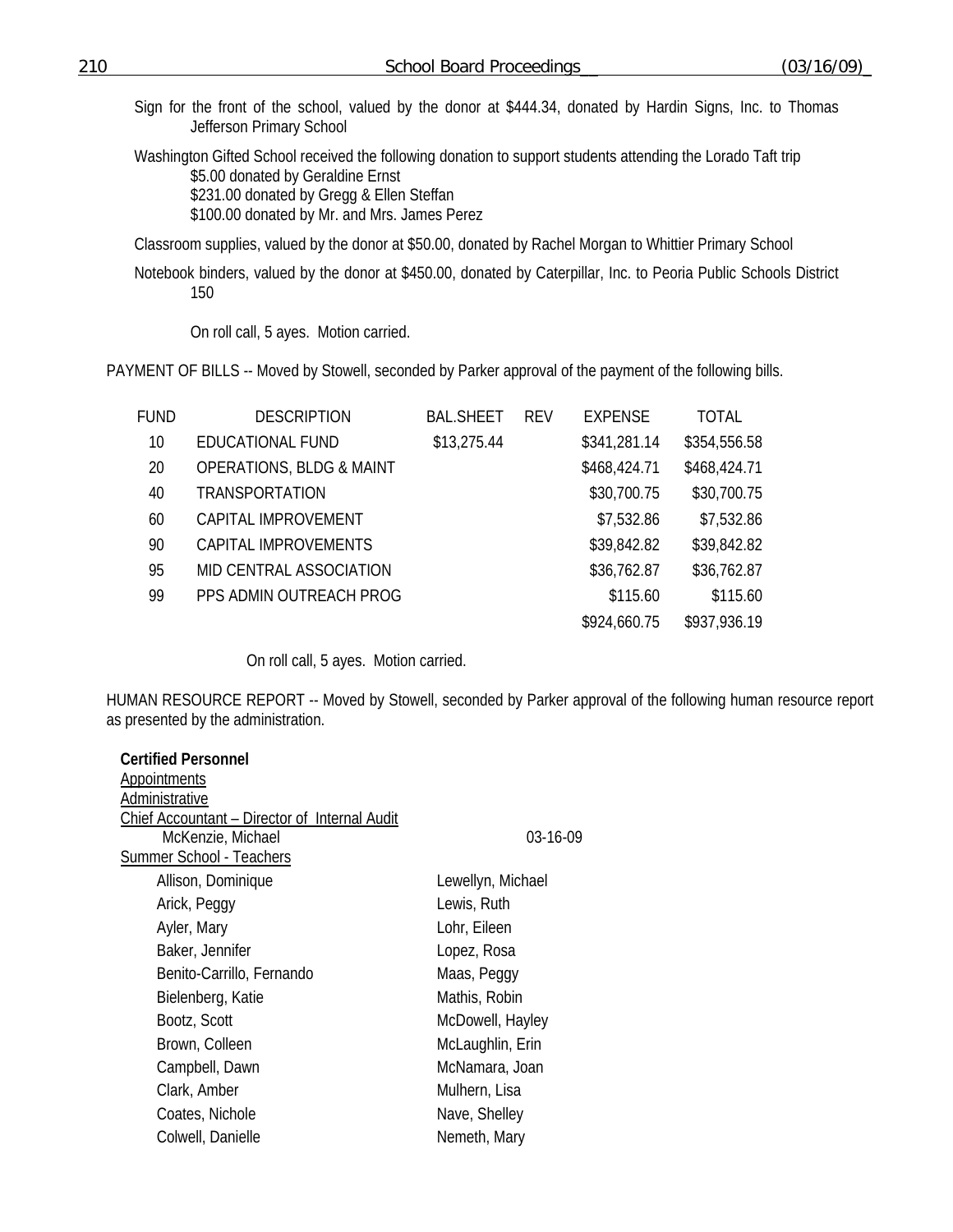Sign for the front of the school, valued by the donor at \$444.34, donated by Hardin Signs, Inc. to Thomas Jefferson Primary School

Washington Gifted School received the following donation to support students attending the Lorado Taft trip \$5.00 donated by Geraldine Ernst \$231.00 donated by Gregg & Ellen Steffan \$100.00 donated by Mr. and Mrs. James Perez

Classroom supplies, valued by the donor at \$50.00, donated by Rachel Morgan to Whittier Primary School

Notebook binders, valued by the donor at \$450.00, donated by Caterpillar, Inc. to Peoria Public Schools District 150

On roll call, 5 ayes. Motion carried.

PAYMENT OF BILLS -- Moved by Stowell, seconded by Parker approval of the payment of the following bills.

| FUND | <b>DESCRIPTION</b>                  | <b>BAL.SHEET</b> | <b>REV</b> | <b>EXPENSE</b> | TOTAL        |
|------|-------------------------------------|------------------|------------|----------------|--------------|
| 10   | <b>EDUCATIONAL FUND</b>             | \$13,275.44      |            | \$341,281.14   | \$354,556.58 |
| 20   | <b>OPERATIONS, BLDG &amp; MAINT</b> |                  |            | \$468,424.71   | \$468,424.71 |
| 40   | <b>TRANSPORTATION</b>               |                  |            | \$30,700.75    | \$30,700.75  |
| 60   | CAPITAL IMPROVEMENT                 |                  |            | \$7,532.86     | \$7,532.86   |
| 90   | CAPITAL IMPROVEMENTS                |                  |            | \$39,842.82    | \$39,842.82  |
| 95   | MID CENTRAL ASSOCIATION             |                  |            | \$36,762.87    | \$36,762.87  |
| 99   | PPS ADMIN OUTREACH PROG             |                  |            | \$115.60       | \$115.60     |
|      |                                     |                  |            | \$924,660.75   | \$937,936.19 |

On roll call, 5 ayes. Motion carried.

HUMAN RESOURCE REPORT -- Moved by Stowell, seconded by Parker approval of the following human resource report as presented by the administration.

| <b>Certified Personnel</b>                    |                   |
|-----------------------------------------------|-------------------|
| Appointments                                  |                   |
| Administrative                                |                   |
| Chief Accountant - Director of Internal Audit |                   |
| McKenzie, Michael                             | 03-16-09          |
| <b>Summer School - Teachers</b>               |                   |
| Allison, Dominique                            | Lewellyn, Michael |
| Arick, Peggy                                  | Lewis, Ruth       |
| Ayler, Mary                                   | Lohr, Eileen      |
| Baker, Jennifer                               | Lopez, Rosa       |
| Benito-Carrillo, Fernando                     | Maas, Peggy       |
| Bielenberg, Katie                             | Mathis, Robin     |
| Bootz, Scott                                  | McDowell, Hayley  |
| Brown, Colleen                                | McLaughlin, Erin  |
| Campbell, Dawn                                | McNamara, Joan    |
| Clark, Amber                                  | Mulhern, Lisa     |
| Coates, Nichole                               | Nave, Shelley     |
| Colwell, Danielle                             | Nemeth, Mary      |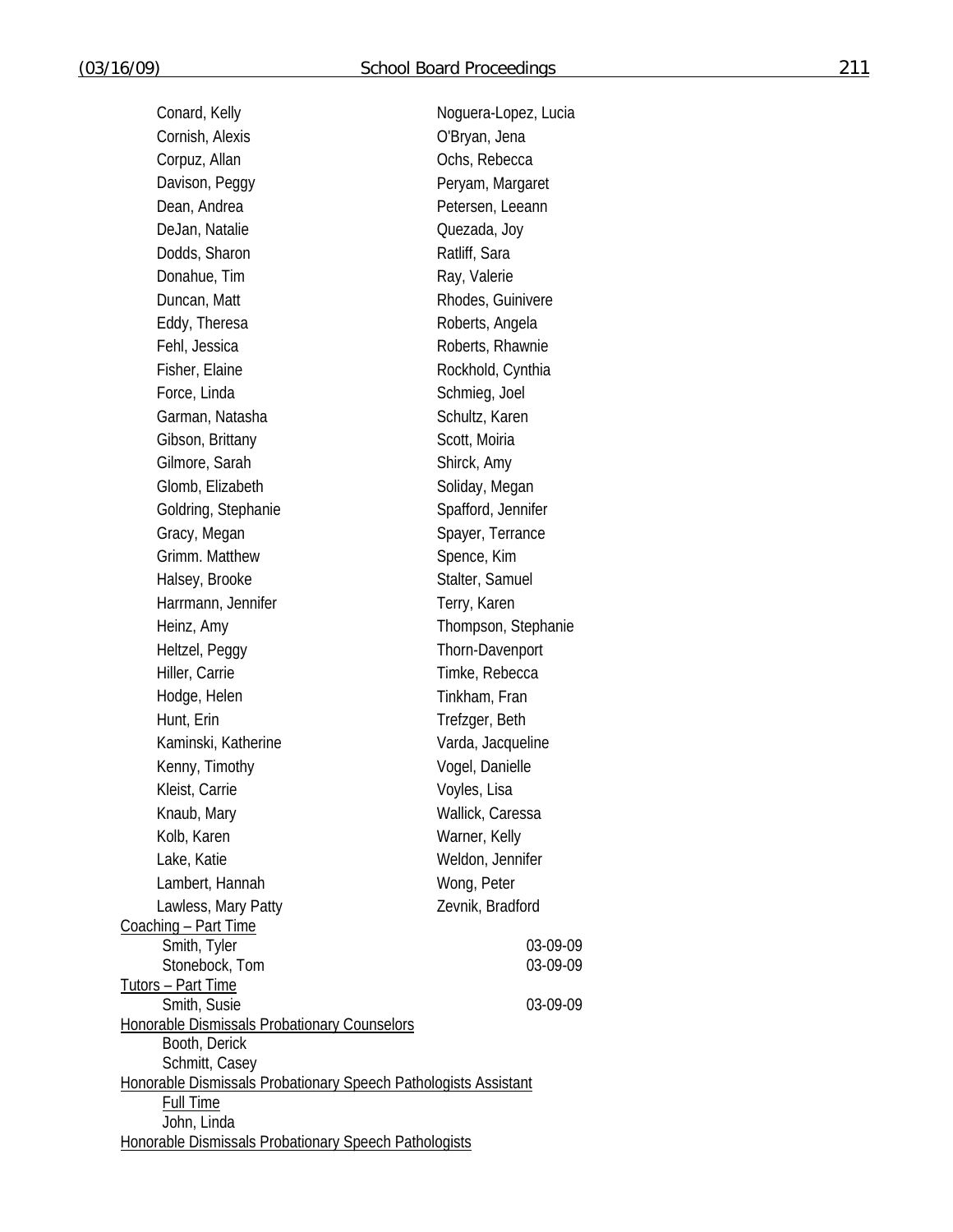| Conard, Kelly                                                                     | Noguera-Lopez, Lucia |
|-----------------------------------------------------------------------------------|----------------------|
| Cornish, Alexis                                                                   | O'Bryan, Jena        |
| Corpuz, Allan                                                                     | Ochs, Rebecca        |
| Davison, Peggy                                                                    | Peryam, Margaret     |
| Dean, Andrea                                                                      | Petersen, Leeann     |
| DeJan, Natalie                                                                    | Quezada, Joy         |
| Dodds, Sharon                                                                     | Ratliff, Sara        |
| Donahue, Tim                                                                      | Ray, Valerie         |
| Duncan, Matt                                                                      | Rhodes, Guinivere    |
| Eddy, Theresa                                                                     | Roberts, Angela      |
| Fehl, Jessica                                                                     | Roberts, Rhawnie     |
| Fisher, Elaine                                                                    | Rockhold, Cynthia    |
| Force, Linda                                                                      | Schmieg, Joel        |
| Garman, Natasha                                                                   | Schultz, Karen       |
| Gibson, Brittany                                                                  | Scott, Moiria        |
| Gilmore, Sarah                                                                    | Shirck, Amy          |
| Glomb, Elizabeth                                                                  | Soliday, Megan       |
| Goldring, Stephanie                                                               | Spafford, Jennifer   |
| Gracy, Megan                                                                      | Spayer, Terrance     |
| Grimm. Matthew                                                                    | Spence, Kim          |
| Halsey, Brooke                                                                    | Stalter, Samuel      |
| Harrmann, Jennifer                                                                | Terry, Karen         |
| Heinz, Amy                                                                        | Thompson, Stephanie  |
| Heltzel, Peggy                                                                    | Thorn-Davenport      |
| Hiller, Carrie                                                                    | Timke, Rebecca       |
| Hodge, Helen                                                                      | Tinkham, Fran        |
| Hunt, Erin                                                                        | Trefzger, Beth       |
| Kaminski, Katherine                                                               | Varda, Jacqueline    |
| Kenny, Timothy                                                                    | Vogel, Danielle      |
| Kleist, Carrie                                                                    | Voyles, Lisa         |
| Knaub, Mary                                                                       | Wallick, Caressa     |
| Kolb, Karen                                                                       | Warner, Kelly        |
| Lake, Katie                                                                       | Weldon, Jennifer     |
| Lambert, Hannah                                                                   | Wong, Peter          |
| Lawless, Mary Patty                                                               | Zevnik, Bradford     |
| Coaching - Part Time                                                              |                      |
| Smith, Tyler<br>Stonebock, Tom                                                    | 03-09-09<br>03-09-09 |
| <u>Tutors – Part Time</u>                                                         |                      |
| Smith, Susie                                                                      | 03-09-09             |
| Honorable Dismissals Probationary Counselors                                      |                      |
| Booth, Derick                                                                     |                      |
| Schmitt, Casey<br>Honorable Dismissals Probationary Speech Pathologists Assistant |                      |
| Full Time                                                                         |                      |
| John, Linda                                                                       |                      |
| Honorable Dismissals Probationary Speech Pathologists                             |                      |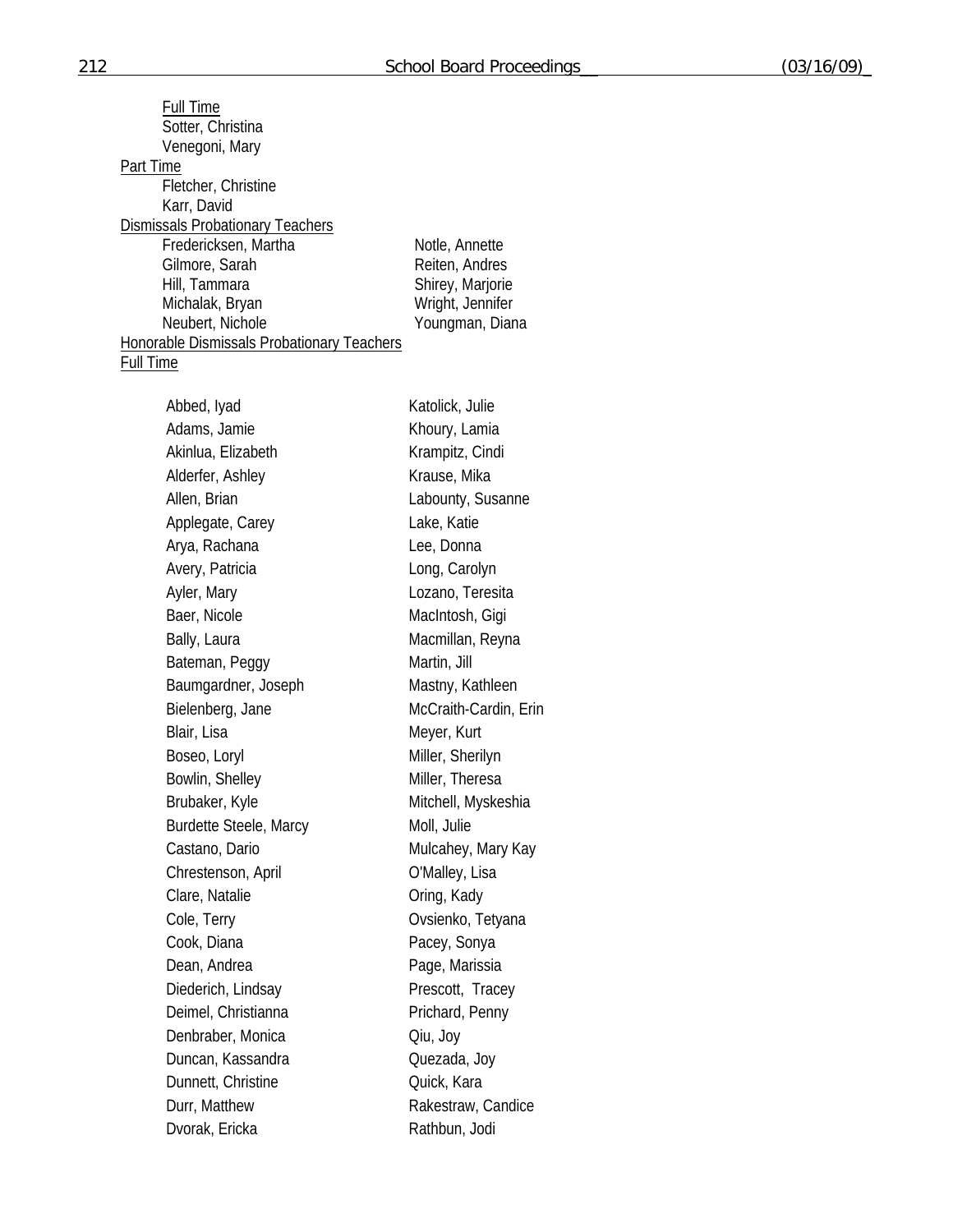| <b>Full Time</b>                                                |                       |
|-----------------------------------------------------------------|-----------------------|
| Sotter, Christina                                               |                       |
| Venegoni, Mary                                                  |                       |
| Part Time                                                       |                       |
| Fletcher, Christine                                             |                       |
| Karr, David                                                     |                       |
| <b>Dismissals Probationary Teachers</b><br>Fredericksen, Martha | Notle, Annette        |
| Gilmore, Sarah                                                  | Reiten, Andres        |
| Hill, Tammara                                                   | Shirey, Marjorie      |
| Michalak, Bryan                                                 | Wright, Jennifer      |
| Neubert, Nichole                                                | Youngman, Diana       |
| <b>Honorable Dismissals Probationary Teachers</b>               |                       |
| <b>Full Time</b>                                                |                       |
| Abbed, Iyad                                                     | Katolick, Julie       |
| Adams, Jamie                                                    | Khoury, Lamia         |
| Akinlua, Elizabeth                                              | Krampitz, Cindi       |
|                                                                 | Krause, Mika          |
| Alderfer, Ashley                                                |                       |
| Allen, Brian                                                    | Labounty, Susanne     |
| Applegate, Carey                                                | Lake, Katie           |
| Arya, Rachana                                                   | Lee, Donna            |
| Avery, Patricia                                                 | Long, Carolyn         |
| Ayler, Mary                                                     | Lozano, Teresita      |
| Baer, Nicole                                                    | MacIntosh, Gigi       |
| Bally, Laura                                                    | Macmillan, Reyna      |
| Bateman, Peggy                                                  | Martin, Jill          |
| Baumgardner, Joseph                                             | Mastny, Kathleen      |
| Bielenberg, Jane                                                | McCraith-Cardin, Erin |
| Blair, Lisa                                                     | Meyer, Kurt           |
| Boseo, Loryl                                                    | Miller, Sherilyn      |
| Bowlin, Shelley                                                 | Miller, Theresa       |
| Brubaker, Kyle                                                  | Mitchell, Myskeshia   |
| <b>Burdette Steele, Marcy</b>                                   | Moll, Julie           |
| Castano, Dario                                                  | Mulcahey, Mary Kay    |
| Chrestenson, April                                              | O'Malley, Lisa        |
| Clare, Natalie                                                  | Oring, Kady           |
| Cole, Terry                                                     | Ovsienko, Tetyana     |
| Cook, Diana                                                     | Pacey, Sonya          |
| Dean, Andrea                                                    | Page, Marissia        |
| Diederich, Lindsay                                              | Prescott, Tracey      |
| Deimel, Christianna                                             | Prichard, Penny       |
| Denbraber, Monica                                               | Qiu, Joy              |
| Duncan, Kassandra                                               | Quezada, Joy          |
| Dunnett, Christine                                              | Quick, Kara           |
| Durr, Matthew                                                   | Rakestraw, Candice    |
| Dvorak, Ericka                                                  | Rathbun, Jodi         |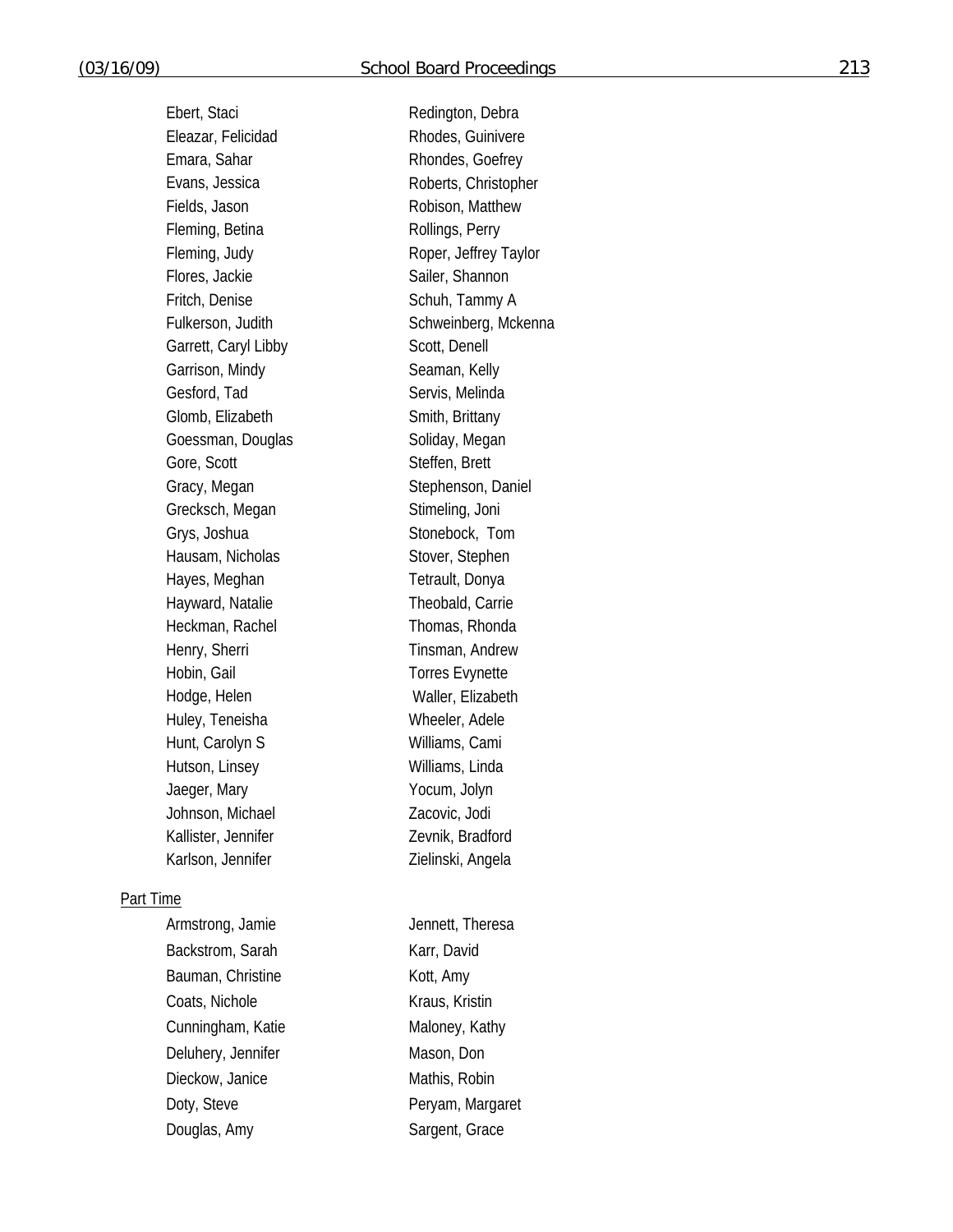Ebert, Staci Redington, Debra Eleazar, Felicidad Rhodes, Guinivere Emara, Sahar Rhondes, Goefrey Evans, Jessica Roberts, Christopher Fields, Jason Robison, Matthew Fleming, Betina Rollings, Perry Fleming, Judy Roper, Jeffrey Taylor Flores, Jackie Sailer, Shannon Fritch, Denise Schuh, Tammy A Fulkerson, Judith Schweinberg, Mckenna Garrett, Caryl Libby Scott, Denell Garrison, Mindy Seaman, Kelly Gesford, Tad Servis, Melinda Glomb, Elizabeth Smith, Brittany Goessman, Douglas Soliday, Megan Gore, Scott Steffen, Brett Gracy, Megan Stephenson, Daniel Grecksch, Megan Stimeling, Joni Grys, Joshua Stonebock, Tom Hausam, Nicholas Stover, Stephen Hayes, Meghan Tetrault, Donya Hayward, Natalie Theobald, Carrie Heckman, Rachel Thomas, Rhonda Henry, Sherri Tinsman, Andrew Hobin, Gail **Torres** Evynette Hodge, Helen Waller, Elizabeth Huley, Teneisha Wheeler, Adele Hunt, Carolyn S<br>
Williams, Cami Hutson, Linsey Williams, Linda Jaeger, Mary **Yocum**, Jolyn Johnson, Michael Zacovic, Jodi Kallister, Jennifer Zevnik, Bradford Karlson, Jennifer Zielinski, Angela

#### Part Time

Armstrong, Jamie Jennett, Theresa Backstrom, Sarah Karr, David Bauman, Christine **Kott**, Amy Coats, Nichole Kraus, Kristin Cunningham, Katie Maloney, Kathy Deluhery, Jennifer Mason, Don Dieckow, Janice Mathis, Robin Doty, Steve **Peryam, Margaret** Douglas, Amy Sargent, Grace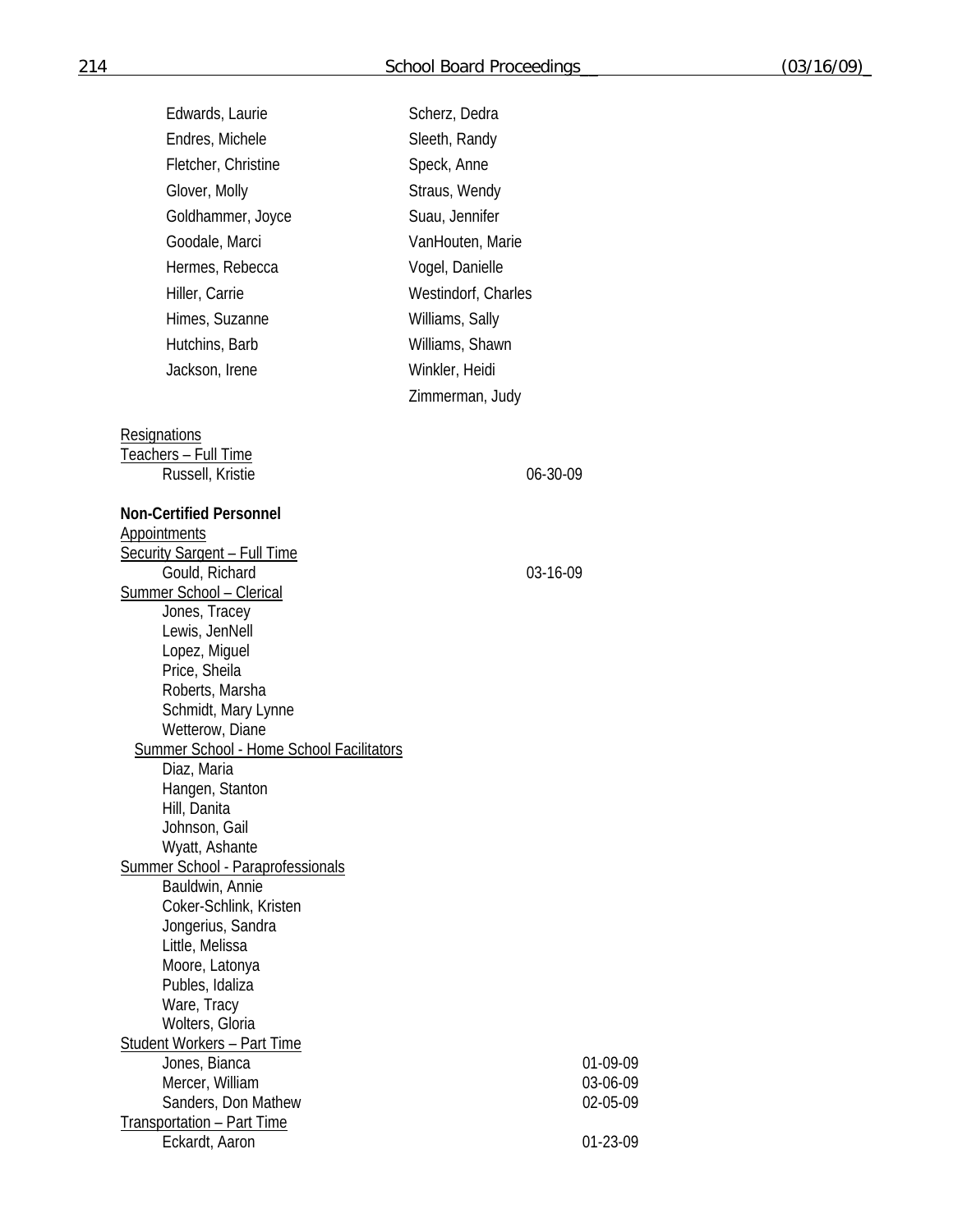| Edwards, Laurie                                 | Scherz, Dedra       |
|-------------------------------------------------|---------------------|
| Endres, Michele                                 | Sleeth, Randy       |
| Fletcher, Christine                             | Speck, Anne         |
| Glover, Molly                                   | Straus, Wendy       |
|                                                 | Suau, Jennifer      |
| Goldhammer, Joyce                               |                     |
| Goodale, Marci                                  | VanHouten, Marie    |
| Hermes, Rebecca                                 | Vogel, Danielle     |
| Hiller, Carrie                                  | Westindorf, Charles |
| Himes, Suzanne                                  | Williams, Sally     |
| Hutchins, Barb                                  | Williams, Shawn     |
| Jackson, Irene                                  | Winkler, Heidi      |
|                                                 | Zimmerman, Judy     |
|                                                 |                     |
| Resignations                                    |                     |
| <u> Teachers – Full Time</u>                    |                     |
| Russell, Kristie                                | 06-30-09            |
| <b>Non-Certified Personnel</b>                  |                     |
| <b>Appointments</b>                             |                     |
| <b>Security Sargent - Full Time</b>             |                     |
| Gould, Richard                                  | 03-16-09            |
| <b>Summer School - Clerical</b>                 |                     |
| Jones, Tracey                                   |                     |
| Lewis, JenNell<br>Lopez, Miguel                 |                     |
| Price, Sheila                                   |                     |
| Roberts, Marsha                                 |                     |
| Schmidt, Mary Lynne                             |                     |
| Wetterow, Diane                                 |                     |
| <b>Summer School - Home School Facilitators</b> |                     |
| Diaz, Maria<br>Hangen, Stanton                  |                     |
| Hill, Danita                                    |                     |
| Johnson, Gail                                   |                     |
| Wyatt, Ashante                                  |                     |
| Summer School - Paraprofessionals               |                     |
| Bauldwin, Annie                                 |                     |
| Coker-Schlink, Kristen<br>Jongerius, Sandra     |                     |
| Little, Melissa                                 |                     |
| Moore, Latonya                                  |                     |
| Publes, Idaliza                                 |                     |
| Ware, Tracy                                     |                     |
| Wolters, Gloria                                 |                     |
| <b>Student Workers - Part Time</b>              | 01-09-09            |
| Jones, Bianca<br>Mercer, William                | 03-06-09            |
| Sanders, Don Mathew                             | 02-05-09            |
| Transportation - Part Time                      |                     |
| Eckardt, Aaron                                  | 01-23-09            |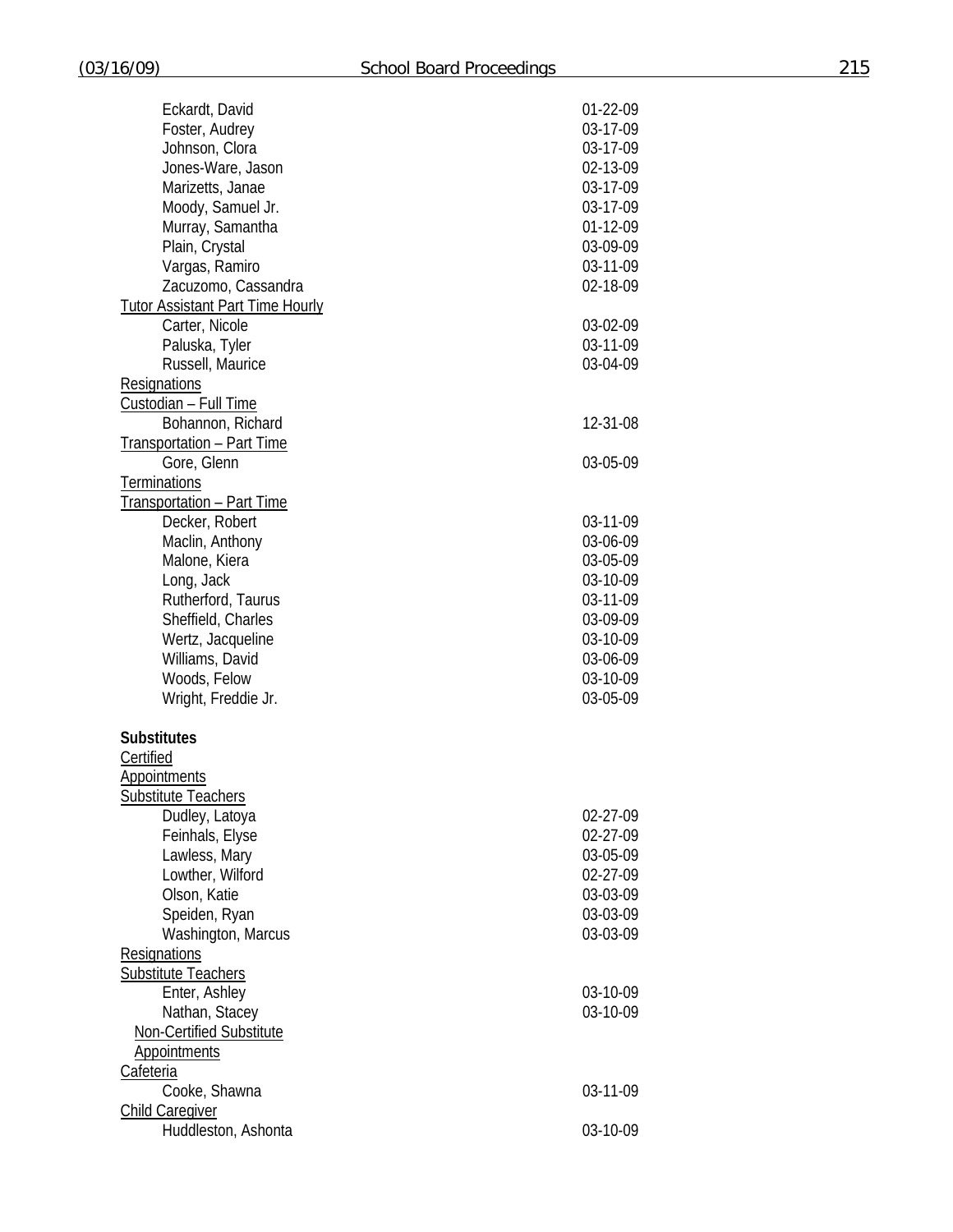| Eckardt, David                          | 01-22-09 |
|-----------------------------------------|----------|
| Foster, Audrey                          | 03-17-09 |
| Johnson, Clora                          | 03-17-09 |
| Jones-Ware, Jason                       | 02-13-09 |
| Marizetts, Janae                        | 03-17-09 |
| Moody, Samuel Jr.                       | 03-17-09 |
| Murray, Samantha                        | 01-12-09 |
| Plain, Crystal                          | 03-09-09 |
| Vargas, Ramiro                          | 03-11-09 |
|                                         |          |
| Zacuzomo, Cassandra                     | 02-18-09 |
| <b>Tutor Assistant Part Time Hourly</b> |          |
| Carter, Nicole                          | 03-02-09 |
| Paluska, Tyler                          | 03-11-09 |
| Russell, Maurice                        | 03-04-09 |
| Resignations                            |          |
| Custodian - Full Time                   |          |
| Bohannon, Richard                       | 12-31-08 |
| <b>Transportation - Part Time</b>       |          |
| Gore, Glenn                             | 03-05-09 |
| Terminations                            |          |
| Transportation - Part Time              |          |
| Decker, Robert                          | 03-11-09 |
| Maclin, Anthony                         | 03-06-09 |
|                                         |          |
| Malone, Kiera                           | 03-05-09 |
| Long, Jack                              | 03-10-09 |
| Rutherford, Taurus                      | 03-11-09 |
| Sheffield, Charles                      | 03-09-09 |
| Wertz, Jacqueline                       | 03-10-09 |
| Williams, David                         | 03-06-09 |
| Woods, Felow                            | 03-10-09 |
| Wright, Freddie Jr.                     | 03-05-09 |
| <b>Substitutes</b>                      |          |
| Certified                               |          |
| <b>Appointments</b>                     |          |
| Substitute Teachers                     |          |
| Dudley, Latoya                          | 02-27-09 |
| Feinhals, Elyse                         | 02-27-09 |
| Lawless, Mary                           | 03-05-09 |
| Lowther, Wilford                        | 02-27-09 |
|                                         |          |
| Olson, Katie                            | 03-03-09 |
| Speiden, Ryan                           | 03-03-09 |
| Washington, Marcus                      | 03-03-09 |
| Resignations                            |          |
| <b>Substitute Teachers</b>              |          |
| Enter, Ashley                           | 03-10-09 |
| Nathan, Stacey                          | 03-10-09 |
| Non-Certified Substitute                |          |
| <b>Appointments</b>                     |          |
| Cafeteria                               |          |
| Cooke, Shawna                           | 03-11-09 |
| <b>Child Caregiver</b>                  |          |
| Huddleston, Ashonta                     | 03-10-09 |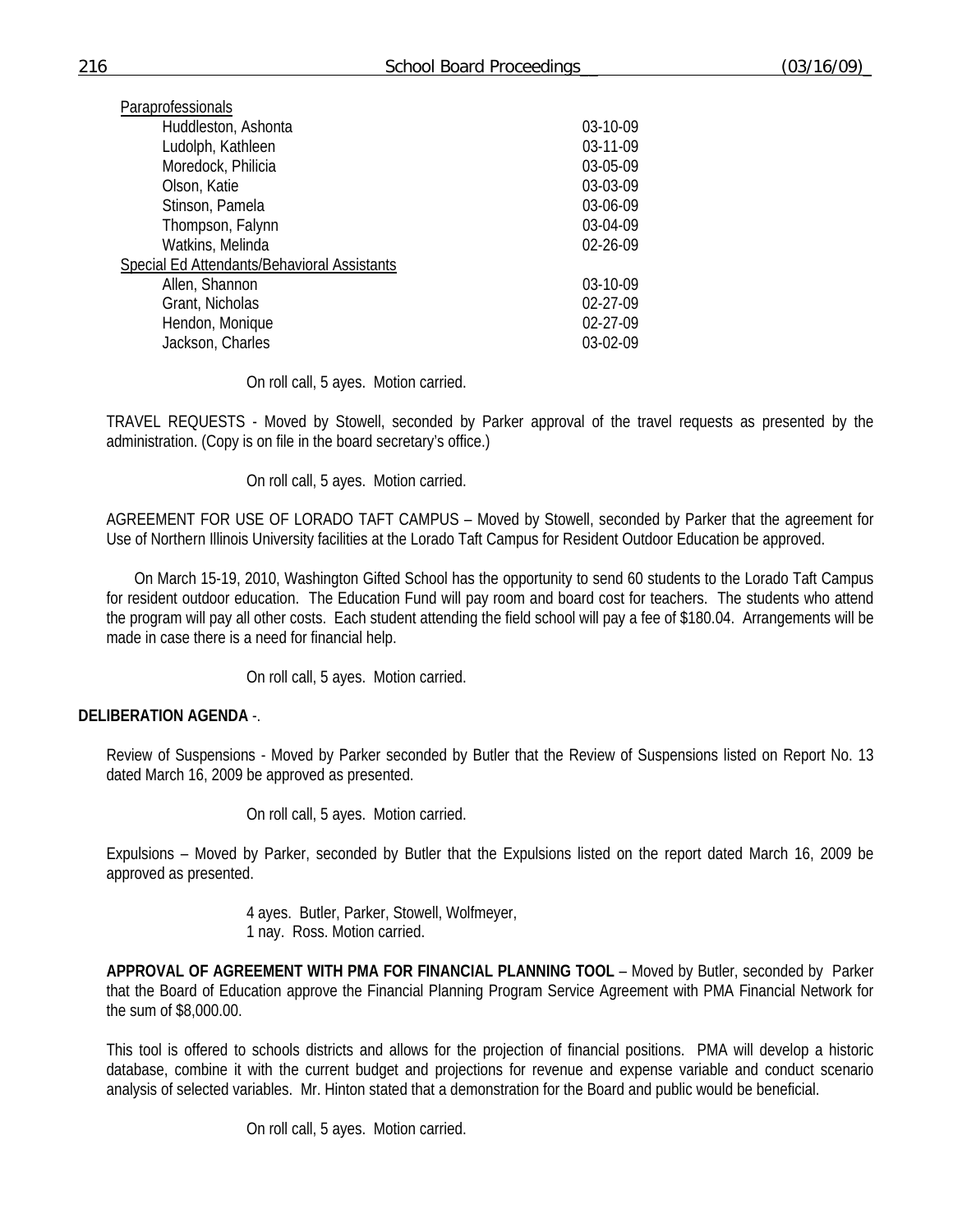| Paraprofessionals                           |          |
|---------------------------------------------|----------|
| Huddleston, Ashonta                         | 03-10-09 |
| Ludolph, Kathleen                           | 03-11-09 |
| Moredock, Philicia                          | 03-05-09 |
| Olson, Katie                                | 03-03-09 |
| Stinson, Pamela                             | 03-06-09 |
| Thompson, Falynn                            | 03-04-09 |
| Watkins, Melinda                            | 02-26-09 |
| Special Ed Attendants/Behavioral Assistants |          |
| Allen, Shannon                              | 03-10-09 |
| Grant, Nicholas                             | 02-27-09 |
| Hendon, Monique                             | 02-27-09 |
| Jackson, Charles                            | 03-02-09 |

On roll call, 5 ayes. Motion carried.

TRAVEL REQUESTS - Moved by Stowell, seconded by Parker approval of the travel requests as presented by the administration. (Copy is on file in the board secretary's office.)

On roll call, 5 ayes. Motion carried.

AGREEMENT FOR USE OF LORADO TAFT CAMPUS – Moved by Stowell, seconded by Parker that the agreement for Use of Northern Illinois University facilities at the Lorado Taft Campus for Resident Outdoor Education be approved.

 On March 15-19, 2010, Washington Gifted School has the opportunity to send 60 students to the Lorado Taft Campus for resident outdoor education. The Education Fund will pay room and board cost for teachers. The students who attend the program will pay all other costs. Each student attending the field school will pay a fee of \$180.04. Arrangements will be made in case there is a need for financial help.

On roll call, 5 ayes. Motion carried.

# **DELIBERATION AGENDA** -.

Review of Suspensions - Moved by Parker seconded by Butler that the Review of Suspensions listed on Report No. 13 dated March 16, 2009 be approved as presented.

On roll call, 5 ayes. Motion carried.

Expulsions – Moved by Parker, seconded by Butler that the Expulsions listed on the report dated March 16, 2009 be approved as presented.

> 4 ayes. Butler, Parker, Stowell, Wolfmeyer, 1 nay. Ross. Motion carried.

**APPROVAL OF AGREEMENT WITH PMA FOR FINANCIAL PLANNING TOOL** – Moved by Butler, seconded by Parker that the Board of Education approve the Financial Planning Program Service Agreement with PMA Financial Network for the sum of \$8,000.00.

This tool is offered to schools districts and allows for the projection of financial positions. PMA will develop a historic database, combine it with the current budget and projections for revenue and expense variable and conduct scenario analysis of selected variables. Mr. Hinton stated that a demonstration for the Board and public would be beneficial.

On roll call, 5 ayes. Motion carried.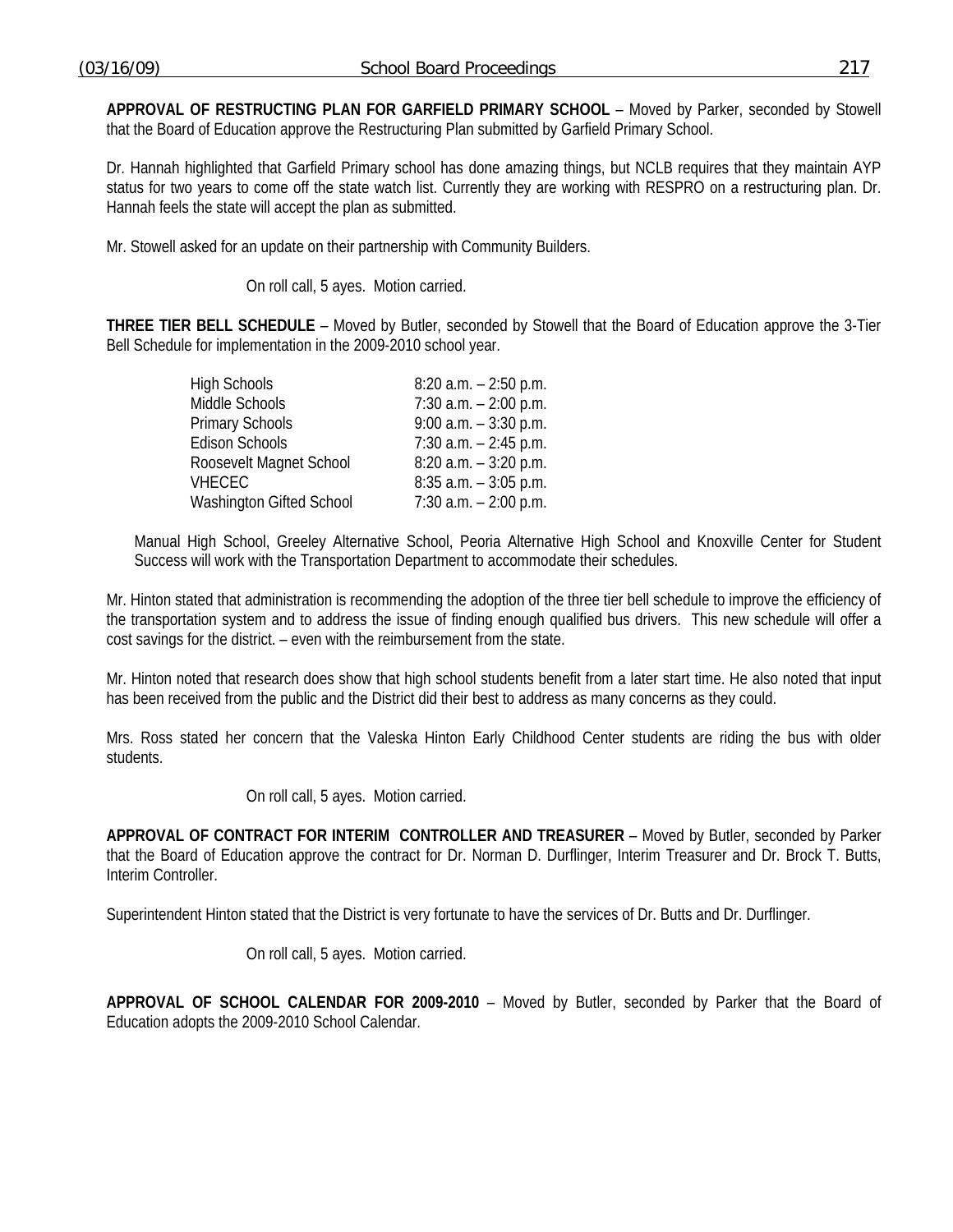**APPROVAL OF RESTRUCTING PLAN FOR GARFIELD PRIMARY SCHOOL** – Moved by Parker, seconded by Stowell that the Board of Education approve the Restructuring Plan submitted by Garfield Primary School.

Dr. Hannah highlighted that Garfield Primary school has done amazing things, but NCLB requires that they maintain AYP status for two years to come off the state watch list. Currently they are working with RESPRO on a restructuring plan. Dr. Hannah feels the state will accept the plan as submitted.

Mr. Stowell asked for an update on their partnership with Community Builders.

On roll call, 5 ayes. Motion carried.

**THREE TIER BELL SCHEDULE** – Moved by Butler, seconded by Stowell that the Board of Education approve the 3-Tier Bell Schedule for implementation in the 2009-2010 school year.

| <b>High Schools</b>      | $8:20$ a.m. $-2:50$ p.m. |
|--------------------------|--------------------------|
| Middle Schools           | $7:30$ a.m. $-2:00$ p.m. |
| Primary Schools          | $9.00$ a.m. $-3.30$ p.m. |
| <b>Edison Schools</b>    | $7:30$ a.m. $-2:45$ p.m. |
| Roosevelt Magnet School  | $8:20$ a.m. $-3:20$ p.m. |
| VHECEC                   | $8:35$ a.m. $-3:05$ p.m. |
| Washington Gifted School | $7:30$ a.m. $-2:00$ p.m. |

Manual High School, Greeley Alternative School, Peoria Alternative High School and Knoxville Center for Student Success will work with the Transportation Department to accommodate their schedules.

Mr. Hinton stated that administration is recommending the adoption of the three tier bell schedule to improve the efficiency of the transportation system and to address the issue of finding enough qualified bus drivers. This new schedule will offer a cost savings for the district. – even with the reimbursement from the state.

Mr. Hinton noted that research does show that high school students benefit from a later start time. He also noted that input has been received from the public and the District did their best to address as many concerns as they could.

Mrs. Ross stated her concern that the Valeska Hinton Early Childhood Center students are riding the bus with older students.

On roll call, 5 ayes. Motion carried.

**APPROVAL OF CONTRACT FOR INTERIM CONTROLLER AND TREASURER** – Moved by Butler, seconded by Parker that the Board of Education approve the contract for Dr. Norman D. Durflinger, Interim Treasurer and Dr. Brock T. Butts, Interim Controller.

Superintendent Hinton stated that the District is very fortunate to have the services of Dr. Butts and Dr. Durflinger.

On roll call, 5 ayes. Motion carried.

**APPROVAL OF SCHOOL CALENDAR FOR 2009-2010** – Moved by Butler, seconded by Parker that the Board of Education adopts the 2009-2010 School Calendar.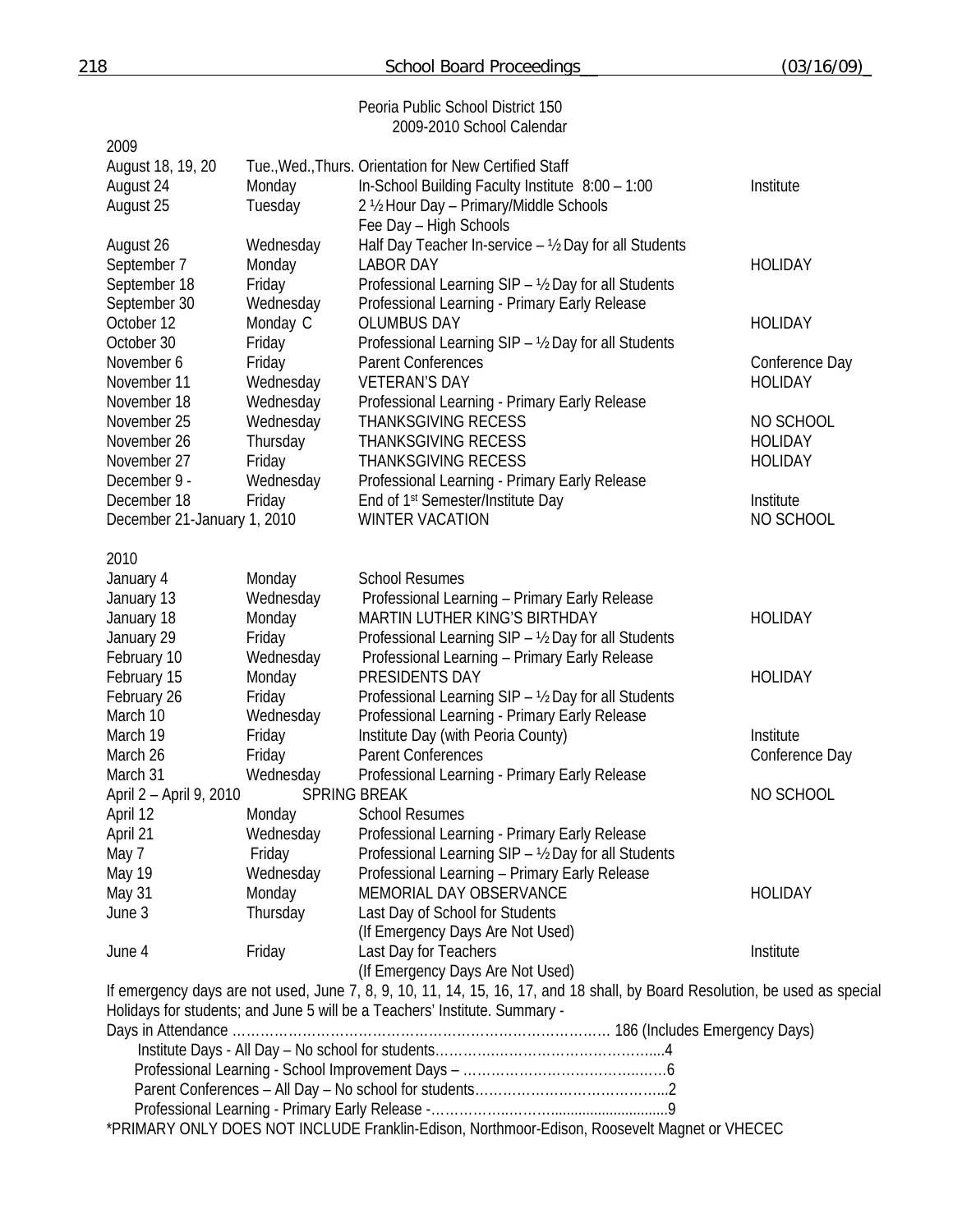| 218                         |           | School Board Proceedings                                                                                                                                                                                  | (03/16/09)     |
|-----------------------------|-----------|-----------------------------------------------------------------------------------------------------------------------------------------------------------------------------------------------------------|----------------|
|                             |           | Peoria Public School District 150                                                                                                                                                                         |                |
|                             |           | 2009-2010 School Calendar                                                                                                                                                                                 |                |
| 2009                        |           |                                                                                                                                                                                                           |                |
| August 18, 19, 20           |           | Tue., Wed., Thurs. Orientation for New Certified Staff                                                                                                                                                    |                |
| August 24                   | Monday    | In-School Building Faculty Institute 8:00 - 1:00                                                                                                                                                          | Institute      |
| August 25                   | Tuesday   | 2 1/2 Hour Day - Primary/Middle Schools                                                                                                                                                                   |                |
|                             |           | Fee Day - High Schools                                                                                                                                                                                    |                |
| August 26                   | Wednesday | Half Day Teacher In-service - 1/2 Day for all Students                                                                                                                                                    |                |
| September 7                 | Monday    | <b>LABOR DAY</b>                                                                                                                                                                                          | <b>HOLIDAY</b> |
| September 18                | Friday    | Professional Learning SIP - 1/2 Day for all Students                                                                                                                                                      |                |
| September 30                | Wednesday | Professional Learning - Primary Early Release                                                                                                                                                             |                |
| October 12                  | Monday C  | <b>OLUMBUS DAY</b>                                                                                                                                                                                        | <b>HOLIDAY</b> |
| October 30                  | Friday    | Professional Learning SIP - 1/2 Day for all Students                                                                                                                                                      |                |
| November 6                  | Friday    | <b>Parent Conferences</b>                                                                                                                                                                                 | Conference Day |
| November 11                 | Wednesday | <b>VETERAN'S DAY</b>                                                                                                                                                                                      | <b>HOLIDAY</b> |
| November 18                 | Wednesday | Professional Learning - Primary Early Release                                                                                                                                                             |                |
| November 25                 | Wednesday | <b>THANKSGIVING RECESS</b>                                                                                                                                                                                | NO SCHOOL      |
| November 26                 | Thursday  | <b>THANKSGIVING RECESS</b>                                                                                                                                                                                | <b>HOLIDAY</b> |
| November 27                 | Friday    | <b>THANKSGIVING RECESS</b>                                                                                                                                                                                | <b>HOLIDAY</b> |
| December 9 -                | Wednesday | Professional Learning - Primary Early Release                                                                                                                                                             |                |
| December 18                 | Friday    | End of 1 <sup>st</sup> Semester/Institute Day                                                                                                                                                             | Institute      |
| December 21-January 1, 2010 |           | <b>WINTER VACATION</b>                                                                                                                                                                                    | NO SCHOOL      |
| 2010                        |           |                                                                                                                                                                                                           |                |
| January 4                   | Monday    | <b>School Resumes</b>                                                                                                                                                                                     |                |
| January 13                  | Wednesday | Professional Learning - Primary Early Release                                                                                                                                                             |                |
| January 18                  | Monday    | MARTIN LUTHER KING'S BIRTHDAY                                                                                                                                                                             | <b>HOLIDAY</b> |
| January 29                  | Friday    | Professional Learning SIP - 1/2 Day for all Students                                                                                                                                                      |                |
| February 10                 | Wednesday | Professional Learning - Primary Early Release                                                                                                                                                             |                |
| February 15                 | Monday    | PRESIDENTS DAY                                                                                                                                                                                            | <b>HOLIDAY</b> |
| February 26                 | Friday    | Professional Learning SIP - 1/2 Day for all Students                                                                                                                                                      |                |
| March 10                    | Wednesday | Professional Learning - Primary Early Release                                                                                                                                                             |                |
| March 19                    | Friday    | Institute Day (with Peoria County)                                                                                                                                                                        | Institute      |
| March 26                    | Friday    | <b>Parent Conferences</b>                                                                                                                                                                                 | Conference Day |
| March 31                    | Wednesday | Professional Learning - Primary Early Release                                                                                                                                                             |                |
| April 2 - April 9, 2010     |           | <b>SPRING BREAK</b>                                                                                                                                                                                       | NO SCHOOL      |
| April 12                    | Monday    | <b>School Resumes</b>                                                                                                                                                                                     |                |
| April 21                    | Wednesday | Professional Learning - Primary Early Release                                                                                                                                                             |                |
| May 7                       | Friday    | Professional Learning SIP - 1/2 Day for all Students                                                                                                                                                      |                |
| May 19                      | Wednesday | Professional Learning - Primary Early Release                                                                                                                                                             |                |
| May 31                      | Monday    | MEMORIAL DAY OBSERVANCE                                                                                                                                                                                   | <b>HOLIDAY</b> |
| June 3                      | Thursday  | Last Day of School for Students                                                                                                                                                                           |                |
|                             |           | (If Emergency Days Are Not Used)                                                                                                                                                                          |                |
| June 4                      | Friday    | Last Day for Teachers                                                                                                                                                                                     | Institute      |
|                             |           | (If Emergency Days Are Not Used)                                                                                                                                                                          |                |
|                             |           | If emergency days are not used, June 7, 8, 9, 10, 11, 14, 15, 16, 17, and 18 shall, by Board Resolution, be used as special<br>Holidays for students; and June 5 will be a Teachers' Institute. Summary - |                |
|                             |           |                                                                                                                                                                                                           |                |
|                             |           |                                                                                                                                                                                                           |                |
|                             |           |                                                                                                                                                                                                           |                |
|                             |           |                                                                                                                                                                                                           |                |
|                             |           |                                                                                                                                                                                                           |                |
|                             |           | *PRIMARY ONLY DOES NOT INCLUDE Franklin-Edison, Northmoor-Edison, Roosevelt Magnet or VHECEC                                                                                                              |                |
|                             |           |                                                                                                                                                                                                           |                |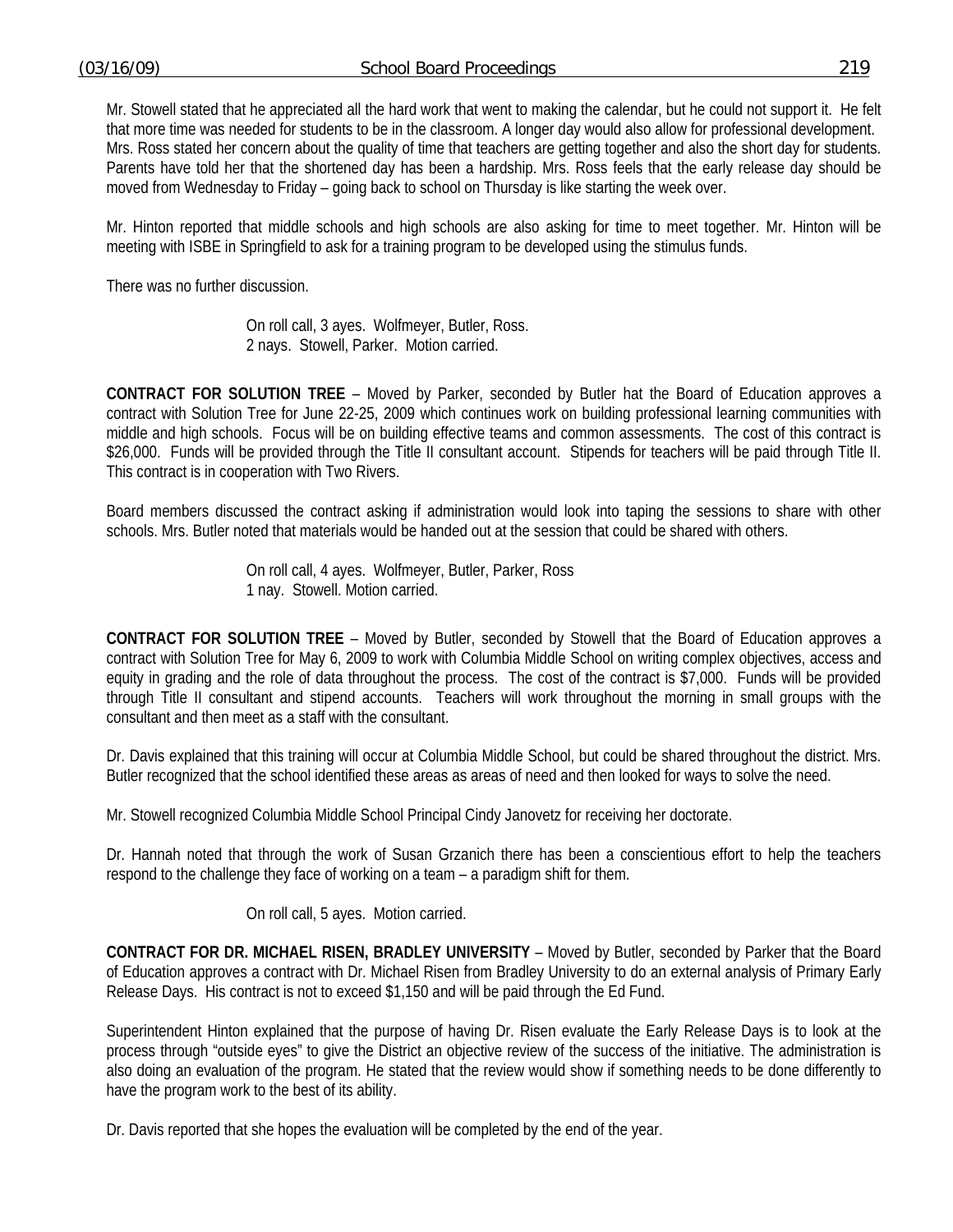Mr. Stowell stated that he appreciated all the hard work that went to making the calendar, but he could not support it. He felt that more time was needed for students to be in the classroom. A longer day would also allow for professional development. Mrs. Ross stated her concern about the quality of time that teachers are getting together and also the short day for students. Parents have told her that the shortened day has been a hardship. Mrs. Ross feels that the early release day should be moved from Wednesday to Friday – going back to school on Thursday is like starting the week over.

Mr. Hinton reported that middle schools and high schools are also asking for time to meet together. Mr. Hinton will be meeting with ISBE in Springfield to ask for a training program to be developed using the stimulus funds.

There was no further discussion.

 On roll call, 3 ayes. Wolfmeyer, Butler, Ross. 2 nays. Stowell, Parker. Motion carried.

**CONTRACT FOR SOLUTION TREE** – Moved by Parker, seconded by Butler hat the Board of Education approves a contract with Solution Tree for June 22-25, 2009 which continues work on building professional learning communities with middle and high schools. Focus will be on building effective teams and common assessments. The cost of this contract is \$26,000. Funds will be provided through the Title II consultant account. Stipends for teachers will be paid through Title II. This contract is in cooperation with Two Rivers.

Board members discussed the contract asking if administration would look into taping the sessions to share with other schools. Mrs. Butler noted that materials would be handed out at the session that could be shared with others.

> On roll call, 4 ayes. Wolfmeyer, Butler, Parker, Ross 1 nay. Stowell. Motion carried.

**CONTRACT FOR SOLUTION TREE** – Moved by Butler, seconded by Stowell that the Board of Education approves a contract with Solution Tree for May 6, 2009 to work with Columbia Middle School on writing complex objectives, access and equity in grading and the role of data throughout the process. The cost of the contract is \$7,000. Funds will be provided through Title II consultant and stipend accounts. Teachers will work throughout the morning in small groups with the consultant and then meet as a staff with the consultant.

Dr. Davis explained that this training will occur at Columbia Middle School, but could be shared throughout the district. Mrs. Butler recognized that the school identified these areas as areas of need and then looked for ways to solve the need.

Mr. Stowell recognized Columbia Middle School Principal Cindy Janovetz for receiving her doctorate.

Dr. Hannah noted that through the work of Susan Grzanich there has been a conscientious effort to help the teachers respond to the challenge they face of working on a team – a paradigm shift for them.

On roll call, 5 ayes. Motion carried.

**CONTRACT FOR DR. MICHAEL RISEN, BRADLEY UNIVERSITY** – Moved by Butler, seconded by Parker that the Board of Education approves a contract with Dr. Michael Risen from Bradley University to do an external analysis of Primary Early Release Days. His contract is not to exceed \$1,150 and will be paid through the Ed Fund.

Superintendent Hinton explained that the purpose of having Dr. Risen evaluate the Early Release Days is to look at the process through "outside eyes" to give the District an objective review of the success of the initiative. The administration is also doing an evaluation of the program. He stated that the review would show if something needs to be done differently to have the program work to the best of its ability.

Dr. Davis reported that she hopes the evaluation will be completed by the end of the year.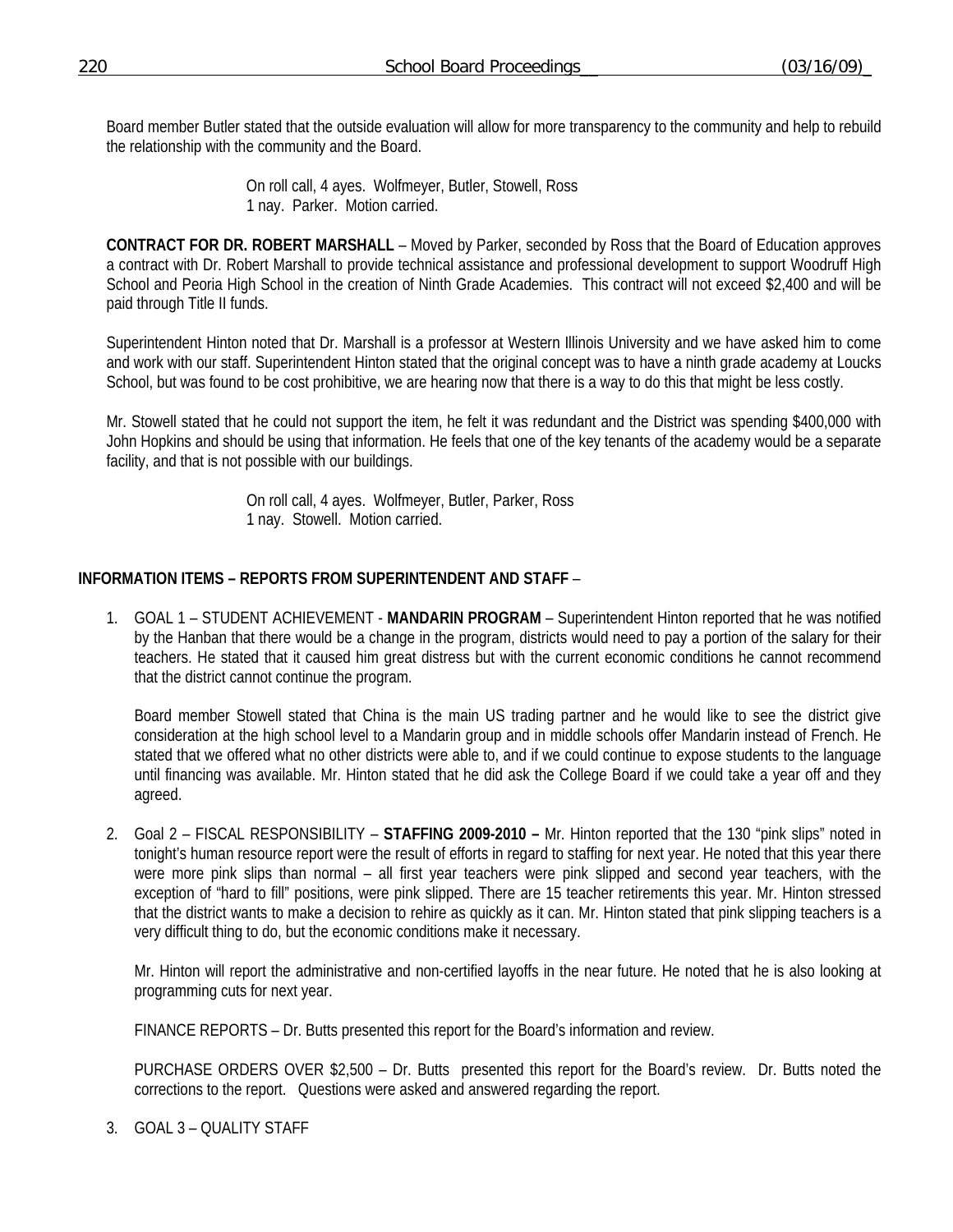Board member Butler stated that the outside evaluation will allow for more transparency to the community and help to rebuild the relationship with the community and the Board.

> On roll call, 4 ayes. Wolfmeyer, Butler, Stowell, Ross 1 nay. Parker. Motion carried.

**CONTRACT FOR DR. ROBERT MARSHALL** – Moved by Parker, seconded by Ross that the Board of Education approves a contract with Dr. Robert Marshall to provide technical assistance and professional development to support Woodruff High School and Peoria High School in the creation of Ninth Grade Academies. This contract will not exceed \$2,400 and will be paid through Title II funds.

Superintendent Hinton noted that Dr. Marshall is a professor at Western Illinois University and we have asked him to come and work with our staff. Superintendent Hinton stated that the original concept was to have a ninth grade academy at Loucks School, but was found to be cost prohibitive, we are hearing now that there is a way to do this that might be less costly.

Mr. Stowell stated that he could not support the item, he felt it was redundant and the District was spending \$400,000 with John Hopkins and should be using that information. He feels that one of the key tenants of the academy would be a separate facility, and that is not possible with our buildings.

> On roll call, 4 ayes. Wolfmeyer, Butler, Parker, Ross 1 nay. Stowell. Motion carried.

# **INFORMATION ITEMS – REPORTS FROM SUPERINTENDENT AND STAFF** –

1. GOAL 1 – STUDENT ACHIEVEMENT - **MANDARIN PROGRAM** – Superintendent Hinton reported that he was notified by the Hanban that there would be a change in the program, districts would need to pay a portion of the salary for their teachers. He stated that it caused him great distress but with the current economic conditions he cannot recommend that the district cannot continue the program.

Board member Stowell stated that China is the main US trading partner and he would like to see the district give consideration at the high school level to a Mandarin group and in middle schools offer Mandarin instead of French. He stated that we offered what no other districts were able to, and if we could continue to expose students to the language until financing was available. Mr. Hinton stated that he did ask the College Board if we could take a year off and they agreed.

2. Goal 2 – FISCAL RESPONSIBILITY – **STAFFING 2009-2010 –** Mr. Hinton reported that the 130 "pink slips" noted in tonight's human resource report were the result of efforts in regard to staffing for next year. He noted that this year there were more pink slips than normal – all first year teachers were pink slipped and second year teachers, with the exception of "hard to fill" positions, were pink slipped. There are 15 teacher retirements this year. Mr. Hinton stressed that the district wants to make a decision to rehire as quickly as it can. Mr. Hinton stated that pink slipping teachers is a very difficult thing to do, but the economic conditions make it necessary.

Mr. Hinton will report the administrative and non-certified layoffs in the near future. He noted that he is also looking at programming cuts for next year.

FINANCE REPORTS – Dr. Butts presented this report for the Board's information and review.

 PURCHASE ORDERS OVER \$2,500 – Dr. Butts presented this report for the Board's review. Dr. Butts noted the corrections to the report. Questions were asked and answered regarding the report.

3. GOAL 3 – QUALITY STAFF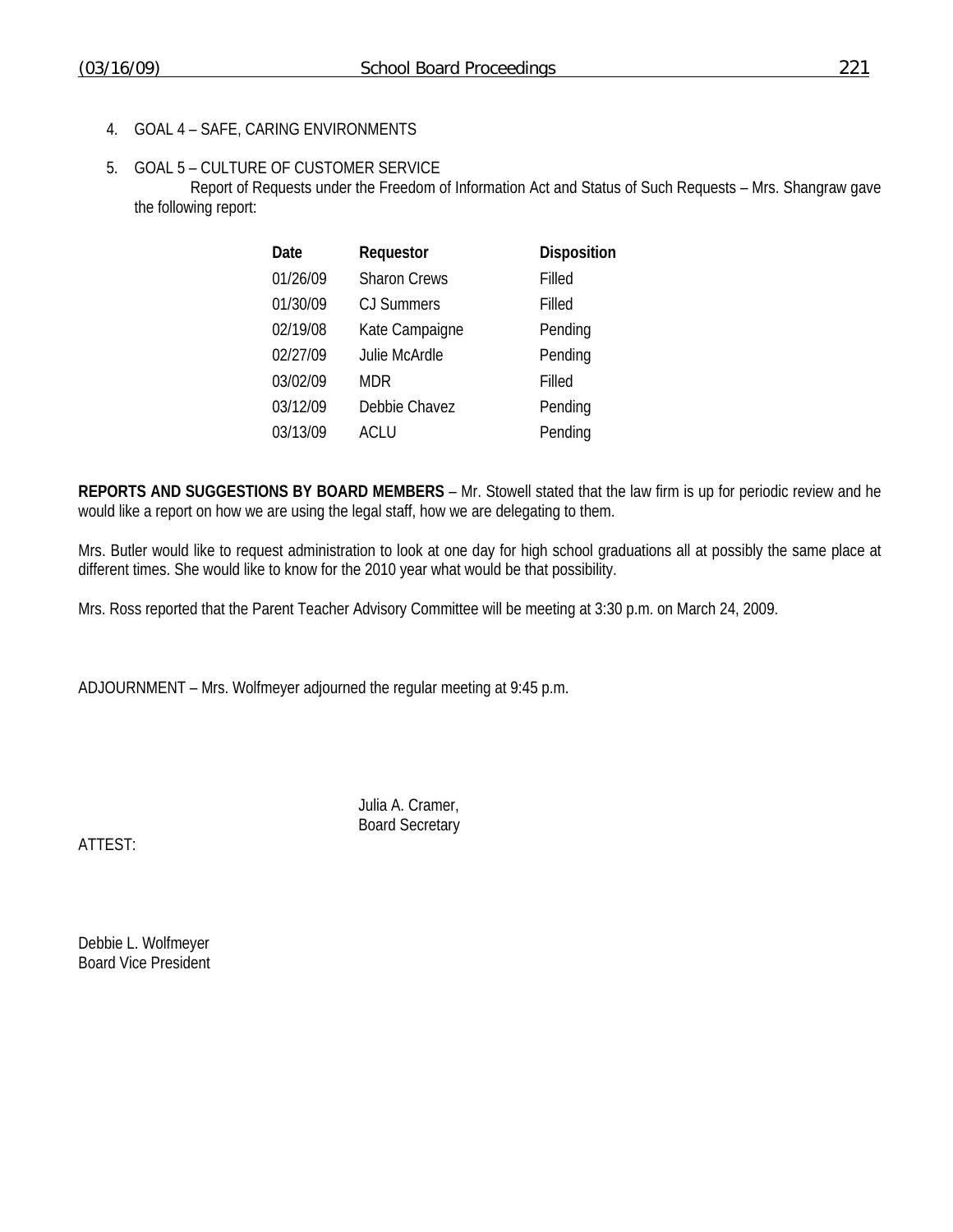4. GOAL 4 – SAFE, CARING ENVIRONMENTS

## 5. GOAL 5 – CULTURE OF CUSTOMER SERVICE

 Report of Requests under the Freedom of Information Act and Status of Such Requests – Mrs. Shangraw gave the following report:

| Date     | Requestor           | Disposition |
|----------|---------------------|-------------|
| 01/26/09 | <b>Sharon Crews</b> | Filled      |
| 01/30/09 | <b>CJ Summers</b>   | Filled      |
| 02/19/08 | Kate Campaigne      | Pending     |
| 02/27/09 | Julie McArdle       | Pending     |
| 03/02/09 | MDR                 | Filled      |
| 03/12/09 | Debbie Chavez       | Pending     |
| 03/13/09 | ACLU                | Pending     |

**REPORTS AND SUGGESTIONS BY BOARD MEMBERS** – Mr. Stowell stated that the law firm is up for periodic review and he would like a report on how we are using the legal staff, how we are delegating to them.

Mrs. Butler would like to request administration to look at one day for high school graduations all at possibly the same place at different times. She would like to know for the 2010 year what would be that possibility.

Mrs. Ross reported that the Parent Teacher Advisory Committee will be meeting at 3:30 p.m. on March 24, 2009.

ADJOURNMENT – Mrs. Wolfmeyer adjourned the regular meeting at 9:45 p.m.

 Julia A. Cramer, Board Secretary

ATTEST:

Debbie L. Wolfmeyer Board Vice President